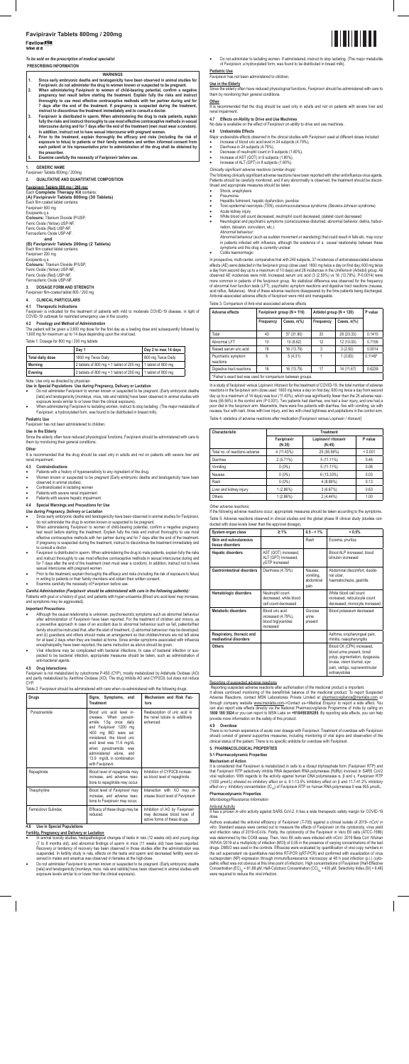*To be sold on the prescription of medical specialist*

# **PRESCRIBING INFORMATION**

- **WARNINGS 1. Since early embryonic deaths and teratogenicity have been observed in animal studies for**
- **Favipiravir, do not administer the drug to women known or suspected to be pregnant.**
- **2. When administering Favipiravir to women of child-bearing potential, confirm a negative pregnancy test result before starting the treatment. Explain fully the risks and instruct thoroughly to use most effective contraceptive methods with her partner during and for**  7 days after the end of the treatment. If pregnancy is suspected during the treatment,<br>instruct to discontinue the treatment immediately and to consult a doctor.<br>3. Favipiravir is distributed in sperm. When administering t
- fully the risks and instruct thoroughly to use most effective contraceptive methods in sexual<br>intercourse during and for 7 days after the end of the treatment (men must wear a condom).<br>In addition, instruct not to have sex
- 4. Prior to the treatment, explain thoroughly the efficacy and risks (including the risk of<br>exposure to fetus) to patients or their family members and written informed consent from<br>each patient/ or his representative prior
- **the prescriber. 5. Examine carefully the necessity of Favipiravir before use.**

# **1. GENERIC NAME**

- Note: Use only as directed by physician. **Use in Special Populations Use during Pregnancy, Delivery or Lactation**  • Do not administer Favipiravir to women known or suspected to be pregnant. (Early embryonic deaths rats] and teratogenicity [monkeys, mice, rats and rabbits] have been observed in animal studies with]<br>exposure levels similar to or lower than the clinical exposure).<br>When administering Favipiravir to lactating women, in
- Favipiravir, a hydroxylated form, was found to be distributed in breast milk).

Favipiravir Tablets 800mg / 200mg

**2. QUALITATIVE AND QUANTITATIVE COMPOSITION** 

# **Favipiravir Tablets 800 mg / 200 mg:**

# Each **Complete Therapy Kit** contains: **(A) Favipiravir Tablets 800mg (30 Tablets)** Each film coated tablet contains:

Favipiravir 800 mg Excipients q.s. **Colours:** Titanium Dioxide IP/USP,

Ferric Oxide (Yellow) USP-NF, Ferric Oxide (Red) USP-NF, Ferrosoferric Oxide USP-NF.

**and (B) Favipiravir Tablets 200mg (2 Tablets)**

It is recommended that the drug should be used only in adults and not on patients with severe liver and renal impairment.

- 
- Patients with a history of hypersensitivity to any ingredient of the drug. Women known or suspected to be pregnant (Early embryonic deaths and teratogenicity have been observed in animal studies). • Contraindicated in lactating women
- 
- Patients with severe renal impairment Patients with severe hepatic impairment

Each film coated tablet contains: Favipiravir 200 mg Excipients q.s. **Colours:** Titanium Dioxide IP/USP,

Ferric Oxide (Yellow) USP-NF, Ferric Oxide (Red) USP-NF, Ferrosoferric Oxide USP-NF. **3. DOSAGE FORM AND STRENGTH** 

# Favipiravir film-coated tablet 800 / 200 mg

# **4. CLINICAL PARTICULARS 4.1 Therapeutic Indications**

Favipiravir is indicated for the treatment of patients with mild to moderate COVID-19 disease, in light of COVID-19 outbreak for restricted emergency use in the country.

**4.2 Posology and Method of Administration**  The patient will be given a 3,600 mg dose for the first day as a loading dose and subsequently followed by 1,600 mg for maximum up to 14 days depending upon the viral load.

### Table 1: Dosage for 800 mg / 200 mg tablets

|                                         | Day 1                                                         | Day 2 to max 14 days |  |
|-----------------------------------------|---------------------------------------------------------------|----------------------|--|
| 1800 mg Twice Daily<br>Total daily dose |                                                               | 800 mg Twice Daily   |  |
| Mornina                                 | 2 tablets of 800 mg + 1 tablet of 200 mg   1 tablet of 800 mg |                      |  |
| Evening                                 | 2 tablets of 800 mg + 1 tablet of 200 mg   1 tablet of 800 mg |                      |  |

# **Pediatric Use**

Favipiravir has not been administered to children.

# **Use in the Elderly**

Since the elderly often have reduced physiological functions, Favipiravir should be administered with care to them by monitoring their general conditions.

# **Other**

#### **4.3 Contraindications**

**4.4 Special Warnings and Precautions for Use** 

- In animal toxicity studies, histopathological changes of testis in rats (12 weeks old) and young dogs (7 to 8<br>7 to 8 months old), and abnormal findings of sperm in mice (11 weeks old) have been reported.<br>8 Recovery or tend suspended. In fertility study in rats, effects on the testis and sperm and decreased fertility were ob-served in males and anestrus was observed in females at the high-dose.
- Do not administer Favipiravir to women known or suspected to be pregnant. (Early embryonic deaths [rats] and teratogenicity [monkeys, mice, rats and rabbits] have been observed in animal studies with exposure levels similar to or lower than the clinical exposure).

Major undesirable effects observed in the clinical studies with Favipiravir used at different doses included: Increase of blood uric acid level in 24 subjects (4.79%),

- Diarrhoea in 24 subjects (4.79%)
- Decrease of neutrophil count in 9 subjects (1.80%), Increase of AST (GOT) in 9 subjects (1.80%), Increase of ALT (GPT) in 8 subjects (1.60%).
- 

- *Use during Pregnancy, Delivery or Lactation*  Since early embryonic deaths and teratogenicity have been observed in animal studies for Favipiravir, do not administer the drug to women known or suspected to be pregnant.
- When administering Favipiravir to women of child-bearing potential, confirm a negative pregnancy test result before starting the treatment. Explain fully the risks and instruct thoroughly to use most effective contraceptive methods with her partner during and for 7 days after the end of the treatment.<br>If pregnancy is suspected during the treatment, instruct to discontinue the treatment immediately and<br>to consult a doct
- Favipiravir is distributed in sperm. When administering the drug to male patients, explain fully the risks and instruct thoroughly to use most effective contraceptive methods in sexual intercourse during and for 7 days after the end of the treatment (men must wear a condom). In addition, instruct not to have sexual intercourse with pregnant women.
- Prior to the treatment, explain thoroughly the efficacy and risks (including the risk of exposure to fetus)<br>in writing to patients or their family members and obtain their written consent.<br>● Examine carefully the necess
- 
- *Careful Administration (Favipiravir should be administered with care in the following patients):*  Patients with gout or a history of gout, and patients with hyper-uricaemia (Blood uric acid level may increase,
- Shock, anaphylaxis
- Pneumonia
- Hepatitis fulminant, hepatic dysfunction, jaundice
	- Toxic epidermal necrolysis (TEN), oculomucocutaneous syndrome (Stevens-Johnson syndrome) • Acute kidney injury
- White blood cell count decreased, neutrophil count decreased, platelet count decreased
- Neurological and psychiatric symptoms (consciousness disturbed, abnormal behavior, deliria, halluci-nation, delusion, convulsion, etc.). *Abnormal behaviour:*

Abnormal behaviour (such as sudden movement or wandering) that could result in falls etc. may occur in patients infected with influenza, although the existence of a causal relationship between these mptoms and this drug is currently unclear

Colitis haemorrhagic

# and symptoms may be aggravated).

# *Important Precautions*

In prospective, multi-center, comparative trial with 240 subjects, 37 incidences of antiviralassociated adverse effects (AE) were detected in the favipiravir group (dose used: 1600 mg twice a day on first day; 600 mg twice<br>a day from second day up to a maximum of 10 days) and 28 incidences in the Umifenovir (Arbidol) group. All<br>obse more common in patients of the favipiravir group. No statistical difference was observed for the frequency<br>of abnormal liver function tests (LFT), psychiatric symptom reactions and digestive tract reactions (nausea,<br>acid r Antiviral-associated adverse effects of favipiravir were mild and manageable.

- Although the causal relationship is unknown, psychoneurotic symptoms such as abnormal behaviour after administration of Favipiravir have been reported. For the treatment of children and minors, as a preventive approach in case of an accident due to abnormal behaviour such as fall, patients/their family should be instructed that, after the start of treatment, (i) abnormal behaviour may be developed,<br>and (ii) guardians and others should make an arrangement so that children/minors are not left alone for at least 2 days when they are treated at home. Since similar symptoms associated with influenza<br>• encephalopathy have been reported, the same instruction as above should be given.<br>• Viral infections may be complicated
- pected to be bacterial infection, appropriate measures should be taken, such as administration of anti-bacterial agents.

In a study of favipiravir versus Lopinavir /ritonavir for the treatment of COVID-19, the total number of adverse reactions in the favipiravir arm (dose used: 1600 mg twice a day on first day; 600 mg twice a day from second day up to a maximum of 14 days) was tour (11.43%), which was significantly fewer than the 25 adverse reactions (55.56%) in the control arm (P 0.001). Two patients had diarrhea, one had a liver injury, and one had a<br>poor diet in the favipiravir arm. Meanwhile, there were five patients with diarrhea, five with vomiting, six wit Table 4: statistics of adverse reactions after medication [Favipiravir versus Lopinavir / ritonavir]

If the following adverse reactions occur, appropriate measures should be taken according to the symptoms Table 5: Adverse reactions observed in clinical studies and the global phase III clinical study (studies conducted with dose levels lower than the approval dosage).

|  | Table 2: Favipiravir should be administered with care when co-administered with the following drugs. |
|--|------------------------------------------------------------------------------------------------------|
|--|------------------------------------------------------------------------------------------------------|

Reporting suspected adverse reactions after authorisation of the medicinal product is important. It allows continued monitoring of the benefit/risk balance of the medicinal product. To report Suspected Adverse Reactions, contact MSN Laboratories Private Limited at pharmacovigilance@msnlabs.com or through company website <u>www.msnlabs.com</u>->Contact us->Medical Enquiry/ to report a side effect. You<br>can also report side effects directly via the National Pharmacovigilance Programme of India by calling on **1800 180 3024** or you can report to MSN Labs on **+918458305295**. By reporting side effects, you can help nation on the safety of this product.

| Drugs                | Signs, Symptoms, and<br><b>Treatment</b>                                                                                                                                                                                                                                                            | Mechanism and Risk Fac-<br>tors                                                                |
|----------------------|-----------------------------------------------------------------------------------------------------------------------------------------------------------------------------------------------------------------------------------------------------------------------------------------------------|------------------------------------------------------------------------------------------------|
| Pyrazinamide         | Blood uric acid level in-<br>creases. When pyrazin-<br>amide 1.5q once daily<br>and Favipiravir 1200 mg<br>/400 mg BID were ad-<br>ministered, the blood uric<br>acid level was 11.6 mg/dL<br>when pyrazinamide<br>was<br>administered alone, and<br>13.9 mg/dL in combination<br>with Favipiravir. | Reabsorption of uric acid in<br>the renal tubule is additively<br>enhanced.                    |
| Repaglinide          | Blood level of repaglinide may<br>increase, and adverse reac-<br>tions to repaglinide may occur.                                                                                                                                                                                                    | Inhibition of CYP2C8 increas-<br>es blood level of repaglinide.                                |
| Theophylline         | Blood level of Favipiravir may<br>increase, and adverse reac-<br>tions to Favipiravir may occur.                                                                                                                                                                                                    | Interaction with XO may in-<br>crease blood level of Favipiravir.                              |
| Famciclovir Sulindac | Efficacy of these drugs may be<br>reduced.                                                                                                                                                                                                                                                          | Inhibition of AO by Favipiravir<br>may decrease blood level of<br>active forms of these drugs. |

# **4.6 Use in Special Populations**

#### **Fertility, Pregnancy and Delivery or Lactation**

Authors evaluated the antiviral efficiency of Favipiravir (T-705) against a clinical isolate of 2019- nCoV *in vitro*. Standard assays were carried out to measure the effects of Favipiravir on the cytotoxicity, virus yield<br>and infection rates of 2019-nCoVs. Firstly, the cytotoxicity of the Favipiravir in Vero E6 cells (ATCC-1586) was determined by the CCK8 assay. Then, Vero E6 cells were infected with nCoV- 2019 Beta CoV /Wuhan /WIV04 /2019 at a multiplicity of infection (MOI) of 0.05 in the presence of varying concentrations of the test drugs. DMSO was used in the controls. Efficacies were evaluated by quantification of viral copy numbers in the cell supernatant via quantitative real-time RT-PCR (qRT-PCR) and confirmed with visualization of virus nucleoprotein (NP) expression through immunofluorescence microscopy at 48 h post infection (p.i.) (cyto-pathic effect was not obvious at this time point of infection). High concentrations of Favipiravir [Half-Effective  $\epsilon_0$  = 61.88 μM, Half-Cytotoxic Concentration (CC)<sub>50</sub> > 400 μM, Selectivity Index (SI) > 6.46] Concentration (EC) $_{50}$  = 61.88  $\mu$ M, Half-Cyt were required to reduce the viral infection.

• Do not administer to lactating women. If administered, instruct to stop lactating. (The major metabolite of Favipiravir, a hydroxylated form, was found to be distributed in breast milk).

### **Favipiravir Tablets 800mg / 200mgFavilow** <u>ਜੈਨਿਕੀ ਸੀ ਤੱ</u>

**Pediatric Use** Favipiravir has not been administered to children.

**Use in the Elderly** Since the elderly often have reduced physiological functions, Favipiravir should be administered with care to them by monitoring their general conditions.

**Other**  It is recommended that the drug should be used only in adults and not on patients with severe liver and renal impairment.

# **4.7 Effects on Ability to Drive and Use Machines**  No data is available on the effect of Favipiravir on ability to drive and use machines.

# **4.8 Undesirable Effects**

# *Clinically significant adverse reactions (similar drugs):*

The following clinically significant adverse reactions have been reported with other antiinfluenza virus agents. Patients should be carefully monitored, and if any abnormality is observed, the treatment should be discontinued and appropriate measures should be taken.

## Table 3: Comparison of Anti-viral associated adverse effects

| Adverse effects                                              | Favipiravir group ( $N = 116$ )    |            | Arbidol group ( $N = 120$ ) |                       | P value   |  |
|--------------------------------------------------------------|------------------------------------|------------|-----------------------------|-----------------------|-----------|--|
|                                                              | Cases, $n\frac{9}{6}$<br>Frequency |            | Frequency                   | Cases, $n\frac{9}{6}$ |           |  |
| Total                                                        | 43                                 | 37 (31.90) | 33                          | 28 (23.33)            | 0.1410    |  |
| Abnormal LFT                                                 | 10                                 | 10 (8.62)  | 12                          | 12 (10.00)            | 0.7156    |  |
| Raised serum uric acid                                       | 16                                 | 16 (13.79) | 3                           | 3(2.50)               | 0.0014    |  |
| Psychiatric symptom<br>reactions                             | 5                                  | 5(4.31)    |                             | 1(0.83)               | $0.1149*$ |  |
| Digestive tract reactions                                    | 16                                 | 16 (13.79) | 17                          | 14 (11.67)            | 0.6239    |  |
| *Fisher's exact test was used for comparison between groups. |                                    |            |                             |                       |           |  |

| Characteristic                 | <b>Treatment</b>      |                                |         |  |  |  |  |
|--------------------------------|-----------------------|--------------------------------|---------|--|--|--|--|
|                                | Favipiravir<br>(N:35) | Lopinavir/ ritonavir<br>(N:45) | P value |  |  |  |  |
| Total no. of reactions adverse | 4 (11.43%)            | 25 (55.56%)                    | < 0.001 |  |  |  |  |
| Diarrhea                       | 2(5.71%)              | $5(11.11\%)$                   | 0.46    |  |  |  |  |
| Vomiting                       | $0(0\%)$              | $5(11.11\%)$                   | 0.06    |  |  |  |  |
| Nausea                         | $0(0\%)$              | 6 (13.33%)                     | 0.03    |  |  |  |  |
| Rash                           | $0(0\%)$              | 4 (8.89%)                      | 0.13    |  |  |  |  |
| Liver and kidney injury        | $1(2.86\%)$           | 3(6.67%)                       | 0.63    |  |  |  |  |
| Others                         | $1(2.86\%)$           | $2(4.44\%)$                    | 1.00    |  |  |  |  |

*Other adverse reactions:* 

| System organ class                                 | $\geq 1\%$                                                                | $0.5 - < 1\%$                             | < 0.5%                                                                                                                     |
|----------------------------------------------------|---------------------------------------------------------------------------|-------------------------------------------|----------------------------------------------------------------------------------------------------------------------------|
| <b>Skin and subcutaneous</b><br>tissue disorders   |                                                                           | Rash                                      | Eczema, pruritus                                                                                                           |
| <b>Hepatic disorders</b>                           | AST (GOT) increased,<br>ALT (GPT) increased,<br>vGTP increased            |                                           | Blood ALP increased, blood<br>bilirubin increased                                                                          |
| <b>Gastrointestinal disorders</b>                  | Diarrhoea (4.79%)                                                         | Nausea.<br>vomiting,<br>abdominal<br>pain | Abdominal discomfort, duode-<br>nal ulcer.<br>haematochezia, gastritis                                                     |
| Hematologic disorders                              | Neutrophil count<br>decreased, white blood<br>cell count decreased        |                                           | White blood cell count<br>increased, reticulocyte count<br>decreased, monocyte increased                                   |
| Metabolic disorders                                | Blood uric acid<br>increased (4.79%),<br>blood triglycerides<br>increased | Glucose<br>urine<br>present               | Blood potassium decreased                                                                                                  |
| Respiratory, thoracic and<br>mediastinal disorders |                                                                           |                                           | Asthma, oropharyngeal pain,<br>rhinitis, nasopharyngitis                                                                   |
| <b>Others</b>                                      |                                                                           |                                           | Blood CK (CPK) increased,<br>blood urine present, tonsil<br>polyp, pigmentation, dysgeusia,<br>bruise, vision blurred, eye |



4.5 **Drug Interactions**<br>Favipiravir is not metabolized by cytochrome P-450 (CYP), mostly metabolized by Aldehyde Oxidase (AO) Favipiravir is not metabolized by cytochrome P-450 (CYP), mostly metabolized by Aldehyde Oxidase (AO)<br>and partly metabolized by Xanthine Oxidase (XO). The drug inhibits AO and CYP2C8, but does not induce<br>CYP.

| pain, vertigo, supraventricular<br>extrasystoles |
|--------------------------------------------------|
|--------------------------------------------------|

#### Reporting of suspected adverse reactions

# **4.9 Overdose**

There is no human experience of acute over dosage with Favipiravir. Treatment of overdose with Favipiravir should consist of general supportive measures, including monitoring of vital signs and observation of the clinical status of the patient. There is no specific antidote for overdose with Favipiravir.

# **5. PHARMACOLOGICAL PROPERTIES**

# **5.1 Pharmacodynamic Properties**

# **Mechanism of Action**

It is considered that Favipiravir is metabolized in cells to a ribosyl triphosphate form (Favipiravir RTP) and that Favipiravir RTP selectively inhibits RNA dependent RNA polymerase (RdRp) involved in SARS CoV2<br>viral replication. With regards to the activity against human DNA polymerases α, β and γ, Favipiravir RTP<br>(1000 μmol/L) s effect on γ. Inhibitory concentration (IC<sub>50</sub>) of Favipiravir RTP on human RNA polymerase II was 905 μmol/L.

# **Pharmacodynamic Properties**

*Microbiology/Resistance Information* 

### Antiviral Activity

It has a proven *in-vitro* activity against SARS CoV-2. It has a wide therapeutic safety margin for COVID-19 dose.